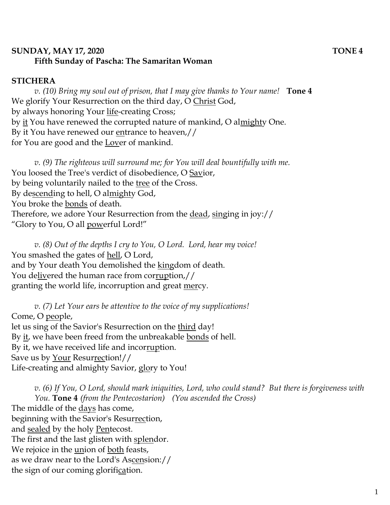## **SUNDAY, MAY 17, 2020 TONE 4 Fifth Sunday of Pascha: The Samaritan Woman**

## **STICHERA**

*v. (10) Bring my soul out of prison, that I may give thanks to Your name!* **Tone 4** We glorify Your Resurrection on the third day, O Christ God, by always honoring Your <u>life</u>-creating Cross; by <u>it</u> You have renewed the corrupted nature of mankind, O al<u>might</u>y One. By it You have renewed our <u>en</u>trance to heaven,// for You are good and the Lover of mankind.

*v. (9) The righteous will surround me; for You will deal bountifully with me.*  You loosed the Tree's verdict of disobedience, O Savior, by being voluntarily nailed to the tree of the Cross. By descending to hell, O almighty God, You broke the bonds of death. Therefore, we adore Your Resurrection from the dead, singing in joy:// "Glory to You, O all powerful Lord!"

*v. (8) Out of the depths I cry to You, O Lord. Lord, hear my voice!*  You smashed the gates of <u>hell</u>, O Lord, and by Your death You demolished the kingdom of death. You delivered the human race from corruption,// granting the world life, incorruption and great mercy.

*v. (7) Let Your ears be attentive to the voice of my supplications!* Come, O people, let us sing of the Savior's Resurrection on the third day! By it, we have been freed from the unbreakable bonds of hell. By it, we have received life and incorruption. Save us by Your Resurrection!// Life-creating and almighty Savior, glory to You!

*v. (6) If You, O Lord, should mark iniquities, Lord, who could stand? But there is forgiveness with You.* **Tone 4** *(from the Pentecostarion) (You ascended the Cross)* The middle of the days has come, beginning with the Savior's Resurrection, and sealed by the holy Pentecost. The first and the last glisten with splendor. We rejoice in the union of both feasts, as we draw near to the Lord's Ascension:// the sign of our coming glorification.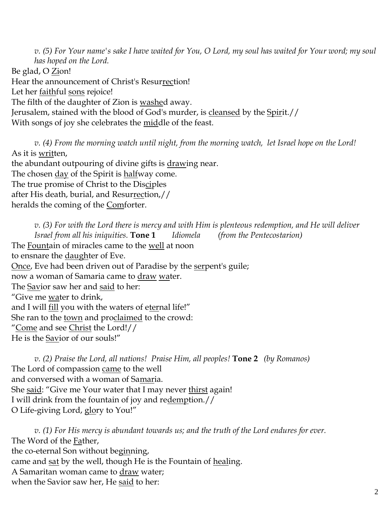*v. (5) For Your name's sake I have waited for You, O Lord, my soul has waited for Your word; my soul has hoped on the Lord.*  Be glad, O Zion! Hear the announcement of Christ's Resurrection! Let her faithful sons rejoice! The filth of the daughter of Zion is washed away. Jerusalem, stained with the blood of God's murder, is cleansed by the Spirit.// With songs of joy she celebrates the middle of the feast.

*v. (4) From the morning watch until night, from the morning watch, let Israel hope on the Lord!*  As it is written,

the abundant outpouring of divine gifts is drawing near. The chosen day of the Spirit is halfway come. The true promise of Christ to the Disciples after His death, burial, and Resurrection,// heralds the coming of the Comforter.

*v. (3) For with the Lord there is mercy and with Him is plenteous redemption, and He will deliver Israel from all his iniquities.* **Tone 1** *Idiomela (from the Pentecostarion)* The Fountain of miracles came to the well at noon to ensnare the daughter of Eve. Once, Eve had been driven out of Paradise by the serpent's guile; now a woman of Samaria came to draw water. The Savior saw her and said to her: "Give me water to drink, and I will fill you with the waters of eternal life!" She ran to the town and proclaimed to the crowd: "Come and see Christ the Lord!// He is the Savior of our souls!"

*v. (2) Praise the Lord, all nations! Praise Him, all peoples!* **Tone 2** *(by Romanos)* The Lord of compassion came to the well and conversed with a woman of Samaria. She said: "Give me Your water that I may never thirst again! I will drink from the fountain of joy and redemption.// O Life-giving Lord, glory to You!"

*v. (1) For His mercy is abundant towards us; and the truth of the Lord endures for ever.*  The Word of the Father, the co-eternal Son without beginning, came and sat by the well, though He is the Fountain of healing. A Samaritan woman came to draw water; when the Savior saw her, He said to her: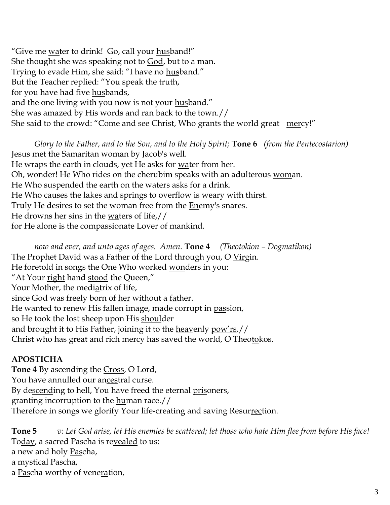"Give me <u>wa</u>ter to drink! Go, call your husband!" She thought she was speaking not to God, but to a man. Trying to evade Him, she said: "I have no husband." But the Teacher replied: "You speak the truth, for you have had five husbands, and the one living with you now is not your husband." She was amazed by His words and ran back to the town.// She said to the crowd: "Come and see Christ, Who grants the world great mercy!"

*Glory to the Father, and to the Son, and to the Holy Spirit;* **Tone 6** *(from the Pentecostarion)* Jesus met the Samaritan woman by Jacob's well. He wraps the earth in clouds, yet He asks for water from her. Oh, wonder! He Who rides on the cherubim speaks with an adulterous woman. He Who suspended the earth on the waters <u>asks</u> for a drink. He Who causes the lakes and springs to overflow is <u>weary</u> with thirst. Truly He desires to set the woman free from the **Enemy's snares**. He drowns her sins in the waters of life,// for He alone is the compassionate Lover of mankind.

*now and ever, and unto ages of ages. Amen.* **Tone 4** *(Theotokion – Dogmatikon)* The Prophet David was a Father of the Lord through you, O Virgin. He foretold in songs the One Who worked wonders in you: "At Your right hand stood the Queen," Your Mother, the mediatrix of life, since God was freely born of her without a father. He wanted to renew His fallen image, made corrupt in passion, so He took the lost sheep upon His shoulder and brought it to His Father, joining it to the heavenly pow'rs.// Christ who has great and rich mercy has saved the world, O Theotokos.

## **APOSTICHA**

**Tone 4** By ascending the Cross, O Lord, You have annulled our ancestral curse. By descending to hell, You have freed the eternal <u>pris</u>oners, granting incorruption to the <u>hu</u>man race.// Therefore in songs we glorify Your life-creating and saving Resurrection.

**Tone 5** *v: Let God arise, let His enemies be scattered; let those who hate Him flee from before His face!* Today, a sacred Pascha is revealed to us: a new and holy Pascha, a mystical Pascha, a Pascha worthy of veneration,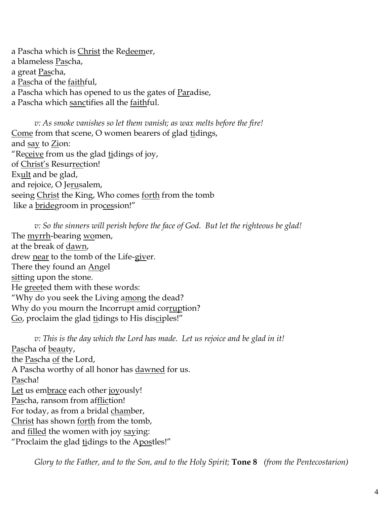a Pascha which is <u>Christ</u> the Re<u>deem</u>er, a blameless Pascha, a great Pascha, a Pascha of the faithful, a Pascha which has opened to us the gates of Paradise, a Pascha which sanctifies all the faithful.

*v: As smoke vanishes so let them vanish; as wax melts before the fire!* Come from that scene, O women bearers of glad tidings, and say to Zion: "Receive from us the glad tidings of joy, of Christ's Resurrection! Exult and be glad, and rejoice, O Jerusalem, seeing Christ the King, Who comes forth from the tomb like a bridegroom in procession!"

*v: So the sinners will perish before the face of God. But let the righteous be glad!* The myrrh-bearing women, at the break of dawn, drew near to the tomb of the Life-giver. There they found an Angel sitting upon the stone. He greeted them with these words: "Why do you seek the Living among the dead? Why do you mourn the Incorrupt amid corruption? Go, proclaim the glad tidings to His disciples!"

*v: This is the day which the Lord has made. Let us rejoice and be glad in it!* Pascha of beauty, the Pascha of the Lord, A Pascha worthy of all honor has dawned for us. Pascha! Let us embrace each other joyously! Pascha, ransom from affliction! For today, as from a bridal chamber, Christ has shown forth from the tomb, and filled the women with joy saying: "Proclaim the glad tidings to the Apostles!"

*Glory to the Father, and to the Son, and to the Holy Spirit;* **Tone 8** *(from the Pentecostarion)*